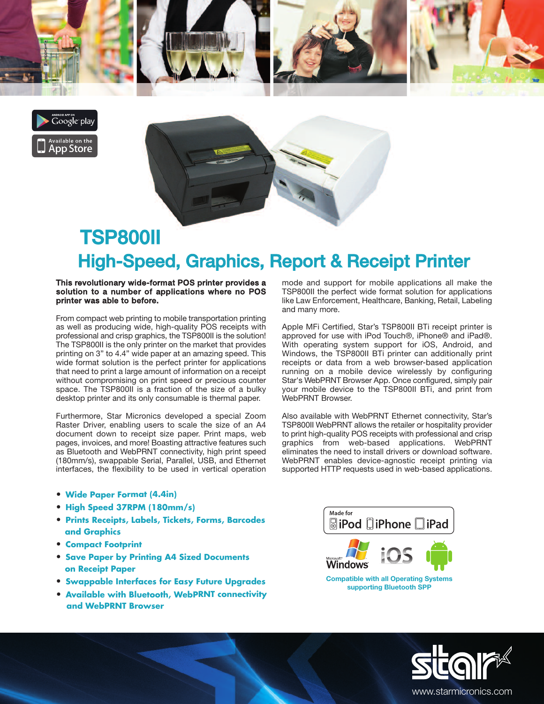





## High-Speed, Graphics, Report & Receipt Printer TSP800II

## **This revolutionary wide-format POS printer provides a solution to a number of applications where no POS printer was able to before.**

From compact web printing to mobile transportation printing as well as producing wide, high-quality POS receipts with professional and crisp graphics, the TSP800II is the solution! The TSP800II is the only printer on the market that provides printing on 3" to 4.4" wide paper at an amazing speed. This wide format solution is the perfect printer for applications that need to print a large amount of information on a receipt without compromising on print speed or precious counter space. The TSP800II is a fraction of the size of a bulky desktop printer and its only consumable is thermal paper.

Furthermore, Star Micronics developed a special Zoom Raster Driver, enabling users to scale the size of an A4 document down to receipt size paper. Print maps, web pages, invoices, and more! Boasting attractive features such as Bluetooth and WebPRNT connectivity, high print speed (180mm/s), swappable Serial, Parallel, USB, and Ethernet interfaces, the flexibility to be used in vertical operation

- **• Wide Paper Format (4.4in)**
- **• High Speed 37RPM (180mm/s)**
- **• Prints Receipts, Labels, Tickets, Forms, Barcodes and Graphics**
- **• Compact Footprint**
- **• Save Paper by Printing A4 Sized Documents on Receipt Paper**
- **• Swappable Interfaces for Easy Future Upgrades**
- **• Available with Bluetooth, WebPRNT connectivity and WebPRNT Browser**

mode and support for mobile applications all make the TSP800II the perfect wide format solution for applications like Law Enforcement, Healthcare, Banking, Retail, Labeling and many more.

Apple MFi Certified, Star's TSP800II BTi receipt printer is approved for use with iPod Touch®, iPhone® and iPad®. With operating system support for iOS, Android, and Windows, the TSP800II BTi printer can additionally print receipts or data from a web browser-based application running on a mobile device wirelessly by configuring Star's WebPRNT Browser App. Once configured, simply pair your mobile device to the TSP800II BTi, and print from WebPRNT Browser.

Also available with WebPRNT Ethernet connectivity, Star's TSP800II WebPRNT allows the retailer or hospitality provider to print high-quality POS receipts with professional and crisp graphics from web-based applications. WebPRNT eliminates the need to install drivers or download software. WebPRNT enables device-agnostic receipt printing via supported HTTP requests used in web-based applications.